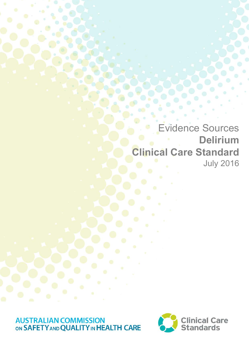Evidence Sources **Delirium Clinical Care Standard** July 2016

**AUSTRALIAN COMMISSION<br>ON SAFETY AND QUALITY IN HEALTH CARE** 

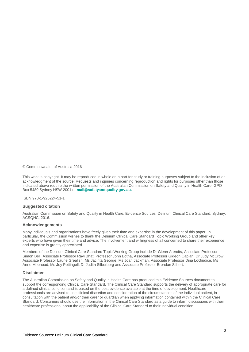© Commonwealth of Australia 2016

This work is copyright. It may be reproduced in whole or in part for study or training purposes subject to the inclusion of an acknowledgment of the source. Requests and inquiries concerning reproduction and rights for purposes other than those indicated above require the written permission of the Australian Commission on Safety and Quality in Health Care, GPO Box 5480 Sydney NSW 2001 or **[mail@safetyandquality.gov.au.](http://mail@safetyandquality.gov.au)**

ISBN 978-1-925224-51-1

### **Suggested citation**

Australian Commission on Safety and Quality in Health Care. Evidence Sources: Delirium Clinical Care Standard. Sydney: ACSQHC, 2016.

### **Acknowledgements**

Many individuals and organisations have freely given their time and expertise in the development of this paper. In particular, the Commission wishes to thank the Delirium Clinical Care Standard Topic Working Group and other key experts who have given their time and advice. The involvement and willingness of all concerned to share their experience and expertise is greatly appreciated.

Members of the Delirium Clinical Care Standard Topic Working Group include Dr Glenn Arendts, Associate Professor Simon Bell, Associate Professor Ravi Bhat, Professor John Botha, Associate Professor Gideon Caplan, Dr Judy McCrow, Associate Professor Laurie Grealish, Ms Jacinta George, Ms Joan Jackman, Associate Professor Dina LoGiudice, Ms Anne Moehead, Ms Joy Pettingell, Dr Judith Silberberg and Associate Professor Brendan Silbert.

### **Disclaimer**

The Australian Commission on Safety and Quality in Health Care has produced this Evidence Sources document to support the corresponding Clinical Care Standard. The Clinical Care Standard supports the delivery of appropriate care for a defined clinical condition and is based on the best evidence available at the time of development. Healthcare professionals are advised to use clinical discretion and consideration of the circumstances of the individual patient, in consultation with the patient and/or their carer or guardian when applying information contained within the Clinical Care Standard. Consumers should use the information in the Clinical Care Standard as a guide to inform discussions with their healthcare professional about the applicability of the Clinical Care Standard to their individual condition.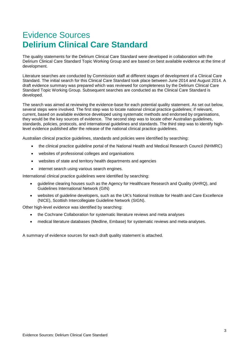# Evidence Sources **Delirium Clinical Care Standard**

The quality statements for the Delirium Clinical Care Standard were developed in collaboration with the Delirium Clinical Care Standard Topic Working Group and are based on best available evidence at the time of development.

Literature searches are conducted by Commission staff at different stages of development of a Clinical Care Standard. The initial search for this Clinical Care Standard took place between June 2014 and August 2014. A draft evidence summary was prepared which was reviewed for completeness by the Delirium Clinical Care Standard Topic Working Group. Subsequent searches are conducted as the Clinical Care Standard is developed.

The search was aimed at reviewing the evidence-base for each potential quality statement. As set out below, several steps were involved. The first step was to locate national clinical practice guidelines; if relevant, current, based on available evidence developed using systematic methods and endorsed by organisations, they would be the key sources of evidence. The second step was to locate other Australian guidelines, standards, policies, protocols, and international guidelines and standards. The third step was to identify highlevel evidence published after the release of the national clinical practice guidelines.

Australian clinical practice guidelines, standards and policies were identified by searching:

- the clinical practice guideline portal of the National Health and Medical Research Council (NHMRC)
- websites of professional colleges and organisations
- websites of state and territory health departments and agencies
- internet search using various search engines.

International clinical practice guidelines were identified by searching:

- guideline clearing houses such as the Agency for Healthcare Research and Quality (AHRQ), and Guidelines International Network (GIN)
- websites of guideline developers, such as the UK's National Institute for Health and Care Excellence (NICE), Scottish Intercollegiate Guideline Network (SIGN).

Other high-level evidence was identified by searching:

- the Cochrane Collaboration for systematic literature reviews and meta analyses
- medical literature databases (Medline, Embase) for systematic reviews and meta-analyses.

A summary of evidence sources for each draft quality statement is attached.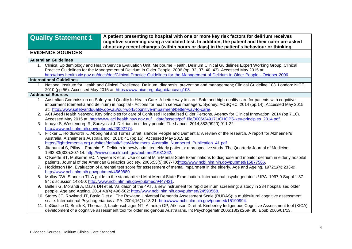| <b>Quality Statement 1</b>                                                                                              |                                                                                                                                             | A patient presenting to hospital with one or more key risk factors for delirium receives<br>cognitive screening using a validated test. In addition, the patient and their carer are asked                          |  |  |  |
|-------------------------------------------------------------------------------------------------------------------------|---------------------------------------------------------------------------------------------------------------------------------------------|---------------------------------------------------------------------------------------------------------------------------------------------------------------------------------------------------------------------|--|--|--|
|                                                                                                                         |                                                                                                                                             | about any recent changes (within hours or days) in the patient's behaviour or thinking.                                                                                                                             |  |  |  |
| <b>EVIDENCE SOURCES</b>                                                                                                 |                                                                                                                                             |                                                                                                                                                                                                                     |  |  |  |
| <b>Australian Guidelines</b>                                                                                            |                                                                                                                                             |                                                                                                                                                                                                                     |  |  |  |
|                                                                                                                         | 1. Clinical Epidemiology and Health Service Evaluation Unit, Melbourne Health, Delirium Clinical Guidelines Expert Working Group. Clinical  |                                                                                                                                                                                                                     |  |  |  |
|                                                                                                                         | Practice Guidelines for the Management of Delirium in Older People. 2006 (pp. 32, 37, 40, 43). Accessed May 2015 at:                        |                                                                                                                                                                                                                     |  |  |  |
|                                                                                                                         | http://docs.health.vic.gov.au/docs/doc/Clinical-Practice-Guidelines-for-the-Management-of-Delirium-in-Older-People---October-2006.          |                                                                                                                                                                                                                     |  |  |  |
| <b>International Guidelines</b>                                                                                         |                                                                                                                                             |                                                                                                                                                                                                                     |  |  |  |
|                                                                                                                         |                                                                                                                                             | 1. National Institute for Health and Clinical Excellence. Delirium: diagnosis, prevention and management; Clinical Guideline 103. London: NICE,                                                                     |  |  |  |
|                                                                                                                         |                                                                                                                                             | 2010 (pp.56). Accessed May 2015 at: https://www.nice.org.uk/guidance/cg103.                                                                                                                                         |  |  |  |
| <b>Additional Sources</b>                                                                                               |                                                                                                                                             |                                                                                                                                                                                                                     |  |  |  |
|                                                                                                                         |                                                                                                                                             | 1. Australian Commission on Safety and Quality In Health Care. A better way to care: Safe and high-quality care for patients with cognitive                                                                         |  |  |  |
|                                                                                                                         |                                                                                                                                             | impairment (dementia and delirium) in hospital - Actions for health service managers. Sydney: ACSQHC; 2014 (pp.14). Accessed May 2015                                                                               |  |  |  |
|                                                                                                                         | at: http://www.safetyandquality.gov.au/our-work/cognitive-impairment/better-way-to-care/.                                                   |                                                                                                                                                                                                                     |  |  |  |
|                                                                                                                         | 2. ACI Aged Health Network. Key principles for care of Confused Hospitalised Older Persons. Agency for Clinical Innovation; 2014 (pp 7,10). |                                                                                                                                                                                                                     |  |  |  |
| Accessed May 2015 at: http://www.aci.health.nsw.gov.au/ data/assets/pdf file/0006/249171/CHOPS-key-principles 2014.pdf. |                                                                                                                                             |                                                                                                                                                                                                                     |  |  |  |
|                                                                                                                         | 3. Inouye S, Westendorp R, Saczynski J. Delirium in elderly people. The Lancet. 2014;383(9920):911-22:                                      |                                                                                                                                                                                                                     |  |  |  |
|                                                                                                                         | http://www.ncbi.nlm.nih.gov/pubmed/23992774.                                                                                                |                                                                                                                                                                                                                     |  |  |  |
|                                                                                                                         | 4. Flicker L, Holdsworth K. Aboriginal and Torres Strait Islander People and Dementia: A review of the research. A report for Alzheimer's   |                                                                                                                                                                                                                     |  |  |  |
|                                                                                                                         |                                                                                                                                             | Australia. Alzheimer's Australia Inc.; 2014; 41 (pp 15). Accessed May 2015 at:                                                                                                                                      |  |  |  |
|                                                                                                                         |                                                                                                                                             | https://fightdementia.org.au/sites/default/files/Alzheimers_Australia_Numbered_Publication_41.pdf                                                                                                                   |  |  |  |
|                                                                                                                         |                                                                                                                                             | 5. Jitapunkul S, Pillay I, Ebrahim S. Delirium in newly admitted elderly patients: a prospective study. The Quarterly Journal of Medicine.                                                                          |  |  |  |
|                                                                                                                         |                                                                                                                                             | 1992;83(300):307-14: http://www.ncbi.nlm.nih.gov/pubmed/1631262.<br>6. O'Keeffe ST, Mulkerrin EC, Nayeem K et al. Use of serial Mini-Mental State Examinations to diagnose and monitor delirium in elderly hospital |  |  |  |
|                                                                                                                         |                                                                                                                                             | patients. Journal of the American Geriatrics Society. 2005;53(5):867-70:http://www.ncbi.nlm.nih.gov/pubmed/15877566.                                                                                                |  |  |  |
|                                                                                                                         |                                                                                                                                             | 7. Hodkinson HM. Evaluation of a mental test score for assessment of mental impairment in the elderly. Age and Ageing. 1972;1(4):233-8:                                                                             |  |  |  |
|                                                                                                                         | http://www.ncbi.nlm.nih.gov/pubmed/4669880.                                                                                                 |                                                                                                                                                                                                                     |  |  |  |
|                                                                                                                         |                                                                                                                                             | 8. Molloy DW, Standish TI. A guide to the standardized Mini-Mental State Examination. International psychogeriatrics / IPA. 1997;9 Suppl 1:87-                                                                      |  |  |  |
|                                                                                                                         |                                                                                                                                             | 94; discussion 143-50: http://www.ncbi.nlm.nih.gov/pubmed/9447431.                                                                                                                                                  |  |  |  |
|                                                                                                                         |                                                                                                                                             | 9. Bellelli G, Morandi A, Davis DH et al. Validaion of the 4AT, a new instrument for rapid delirium screening: a study in 234 hospitalised older                                                                    |  |  |  |
|                                                                                                                         |                                                                                                                                             | people. Age and Ageing. 2014;43(4):496-502: http://www.ncbi.nlm.nih.gov/pubmed/24590568.                                                                                                                            |  |  |  |
|                                                                                                                         |                                                                                                                                             | 10. Storey JE, Rowland JT, Basic D et al. The Rowland Universal Dementia Assessment Scale (RUDAS): a multicultural cognitive assessment                                                                             |  |  |  |
|                                                                                                                         |                                                                                                                                             | scale. International Psychogeriatrics / IPA. 2004;16(1):13-31: http://www.ncbi.nlm.nih.gov/pubmed/15190994.                                                                                                         |  |  |  |
|                                                                                                                         |                                                                                                                                             | 11. LoGiudice D, Smith K, Thomas J, Lautenschlager NT, Almeida OP, Atkinson D, et al. Kimberley Indigenous Cognitive Assessment tool (KICA):                                                                        |  |  |  |
|                                                                                                                         |                                                                                                                                             | development of a cognitive assessment tool for older indigenous Australians. Int Psychogeriatr 2006;18(2):269-80. Epub 2006/01/13.                                                                                  |  |  |  |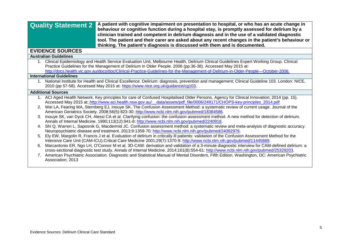|                                 | A patient with cognitive impairment on presentation to hospital, or who has an acute change in<br><b>Quality Statement 2</b><br>behaviour or cognitive function during a hospital stay, is promptly assessed for delirium by a<br>clinician trained and competent in delirium diagnosis and in the use of a validated diagnostic<br>tool. The patient and their carer are asked about any recent changes in the patient's behaviour or<br>thinking. The patient's diagnosis is discussed with them and is documented. |  |  |  |
|---------------------------------|-----------------------------------------------------------------------------------------------------------------------------------------------------------------------------------------------------------------------------------------------------------------------------------------------------------------------------------------------------------------------------------------------------------------------------------------------------------------------------------------------------------------------|--|--|--|
| <b>EVIDENCE SOURCES</b>         |                                                                                                                                                                                                                                                                                                                                                                                                                                                                                                                       |  |  |  |
| <b>Australian Guidelines</b>    |                                                                                                                                                                                                                                                                                                                                                                                                                                                                                                                       |  |  |  |
|                                 | Clinical Epidemiology and Health Service Evaluation Unit, Melbourne Health, Delirium Clinical Guidelines Expert Working Group. Clinical<br>Practice Guidelines for the Management of Delirium in Older People. 2006 (pp.36-38). Accessed May 2015 at:<br>http://docs.health.vic.gov.au/docs/doc/Clinical-Practice-Guidelines-for-the-Management-of-Delirium-in-Older-People---October-2006.                                                                                                                           |  |  |  |
| <b>International Guidelines</b> |                                                                                                                                                                                                                                                                                                                                                                                                                                                                                                                       |  |  |  |
|                                 | 1. National Institute for Health and Clinical Excellence. Delirium: diagnosis, prevention and management; Clinical Guideline 103. London: NICE,<br>2010 (pp 57-58). Accessed May 2015 at: https://www.nice.org.uk/guidance/cg103.                                                                                                                                                                                                                                                                                     |  |  |  |
| <b>Additional Sources</b>       |                                                                                                                                                                                                                                                                                                                                                                                                                                                                                                                       |  |  |  |
| 2.                              | ACI Aged Health Network. Key principles for care of Confused Hospitalised Older Persons. Agency for Clinical Innovation; 2014 (pp. 15).<br>Accessed May 2015 at:.http://www.aci.health.nsw.gov.au/ data/assets/pdf_file/0006/249171/CHOPS-key-principles_2014.pdf<br>Wei LA, Fearing MA, Sternberg EJ, Inouye SK. The Confusion Assessment Method: a systematic review of current usage. Journal of the                                                                                                               |  |  |  |
|                                 | American Geriatrics Society. 2008;56(5):823-30: http://www.ncbi.nlm.nih.gov/pubmed/18384586.                                                                                                                                                                                                                                                                                                                                                                                                                          |  |  |  |
|                                 | Inouye SK, van Dyck CH, Alessi CA et al. Clarifying confusion: the confusion assessment method. A new method for detection of delirium.<br>Annals of Internal Medicine. 1990;113(12):941-8: http://www.ncbi.nlm.nih.gov/pubmed/2240918.                                                                                                                                                                                                                                                                               |  |  |  |
|                                 | 4. Shi Q, Warren L, Saposnik G, Macdermid JC. Confusion assessment method: a systematic review and meta-analysis of diagnostic accuracy.<br>Neuropsychiatric disease and treatment. 2013;9:1359-70: http://www.ncbi.nlm.nih.gov/pubmed/24092976.                                                                                                                                                                                                                                                                      |  |  |  |
|                                 | Ely EW, Margolin R, Francis J et al. Evaluation of delirium in critically ill patients: validation of the Confusion Assessment Method for the<br>Intensive Care Unit (CAM-ICU). Critical Care Medicine 2001;29(7):1370-9: http://www.ncbi.nlm.nih.gov/pubmed/11445689.                                                                                                                                                                                                                                                |  |  |  |
| 6.                              | Marcantonio ER, Ngo LH, O'Connor M et al. 3D-CAM: derivation and validation of a 3-minute diagnostic interview for CAM-defined delirium: a<br>cross-sectional diagnostic test study. Annals of Internal Medicine. 2014;161(8):554-61: http://www.ncbi.nlm.nih.gov/pubmed/25329203.                                                                                                                                                                                                                                    |  |  |  |
|                                 | 7. American Psychiatric Association. Diagnostic and Statistical Manual of Mental Disorders, Fifth Edition. Washington, DC: American Psychiatric<br>Association; 2013                                                                                                                                                                                                                                                                                                                                                  |  |  |  |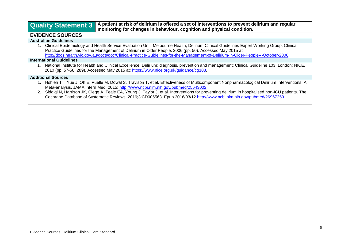**Quality Statement 3 A patient at risk of delirium is offered a set of interventions to prevent delirium and regular monitoring for changes in behaviour, cognition and physical condition.**

# **EVIDENCE SOURCES**

### **Australian Guidelines**

1. Clinical Epidemiology and Health Service Evaluation Unit, Melbourne Health, Delirium Clinical Guidelines Expert Working Group. Clinical Practice Guidelines for the Management of Delirium in Older People. 2006 (pp. 50). Accessed May 2015 at: <http://docs.health.vic.gov.au/docs/doc/Clinical-Practice-Guidelines-for-the-Management-of-Delirium-in-Older-People---October-2006>

### **International Guidelines**

1. National Institute for Health and Clinical Excellence. Delirium: diagnosis, prevention and management; Clinical Guideline 103. London: NICE, 2010 (pp. 57-58, 289). Accessed May 2015 at: [https://www.nice.org.uk/guidance/cg103.](https://www.nice.org.uk/guidance/cg103)

### **Additional Sources**

- 1. Hshieh TT, Yue J, Oh E, Puelle M, Dowal S, Travison T, et al. Effectiveness of Multicomponent Nonpharmacological Delirium Interventions: A Meta-analysis. JAMA Intern Med. 2015: [http://www.ncbi.nlm.nih.gov/pubmed/25643002.](http://www.ncbi.nlm.nih.gov/pubmed/25643002)
- 2. Siddiqi N, Harrison JK, Clegg A, Teale EA, Young J, Taylor J, et al. Interventions for preventing delirium in hospitalised non-ICU patients. The Cochrane Database of Systematic Reviews. 2016;3:CD005563. Epub 2016/03/12 <http://www.ncbi.nlm.nih.gov/pubmed/26967259>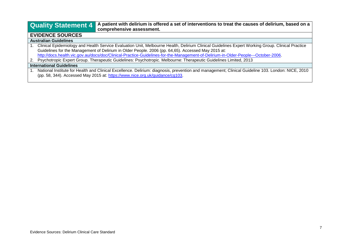**Quality Statement 4 A patient with delirium is offered a set of interventions to treat the causes of delirium, based on a comprehensive assessment.**

# **EVIDENCE SOURCES**

## **Australian Guidelines**

1. Clinical Epidemiology and Health Service Evaluation Unit, Melbourne Health, Delirium Clinical Guidelines Expert Working Group. Clinical Practice Guidelines for the Management of Delirium in Older People. 2006 (pp. 64,65). Accessed May 2015 at: [http://docs.health.vic.gov.au/docs/doc/Clinical-Practice-Guidelines-for-the-Management-of-Delirium-in-Older-People---October-2006.](http://docs.health.vic.gov.au/docs/doc/Clinical-Practice-Guidelines-for-the-Management-of-Delirium-in-Older-People---October-2006)

2. Psychotropic Expert Group. Therapeutic Guidelines: Psychotropic. Melbourne: Therapeutic Guidelines Limited, 2013

### **International Guidelines**

1. National Institute for Health and Clinical Excellence. Delirium: diagnosis, prevention and management; Clinical Guideline 103. London: NICE, 2010 (pp. 58, 344). Accessed May 2015 at: [https://www.nice.org.uk/guidance/cg103.](https://www.nice.org.uk/guidance/cg103)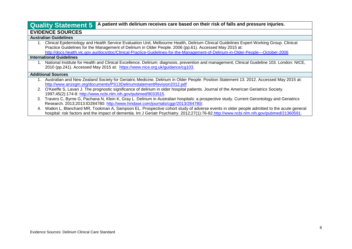# **Quality Statement 5 A patient with delirium receives care based on their risk of falls and pressure injuries.**

## **EVIDENCE SOURCES**

### **Australian Guidelines**

1. Clinical Epidemiology and Health Service Evaluation Unit, Melbourne Health, Delirium Clinical Guidelines Expert Working Group. Clinical Practice Guidelines for the Management of Delirium in Older People. 2006 (pp.61). Accessed May 2015 at: <http://docs.health.vic.gov.au/docs/doc/Clinical-Practice-Guidelines-for-the-Management-of-Delirium-in-Older-People---October-2006>

### **International Guidelines**

1. National Institute for Health and Clinical Excellence. Delirium: diagnosis, prevention and management; Clinical Guideline 103. London: NICE, 2010 (pp.241). Accessed May 2015 at: [https://www.nice.org.uk/guidance/cg103.](https://www.nice.org.uk/guidance/cg103)

### **Additional Sources**

- 1. Australian and New Zealand Society for Geriatric Medicine. Delirium in Older People: Position Statement 13. 2012. Accessed May 2015 at: <http://www.anzsgm.org/documents/PS13DeliriumstatementRevision2012.pdf>
- 2. O'Keeffe S, Lavan J. The prognostic significance of delirium in older hospital patients. Journal of the American Geriatrics Society. 1997;45(2):174-8: [http://www.ncbi.nlm.nih.gov/pubmed/9033515.](http://www.ncbi.nlm.nih.gov/pubmed/9033515)
- 3. Travers C, Byrne G, Pachana N, Klein K, Gray L. Delirium in Australian hospitals: a prospective study. Current Gerontology and Geriatrics Research. 2013;2013:ID284780: [http://www.hindawi.com/journals/cggr/2013/284780/.](http://www.hindawi.com/journals/cggr/2013/284780/)
- 4. Watkin L, Blanchard MR, Tookman A, Sampson EL. Prospective cohort study of adverse events in older people admitted to the acute general hospital: risk factors and the impact of dementia. Int J Geriatr Psychiatry. 2012;27(1):76-82[.http://www.ncbi.nlm.nih.gov/pubmed/21360591.](http://www.ncbi.nlm.nih.gov/pubmed/21360591)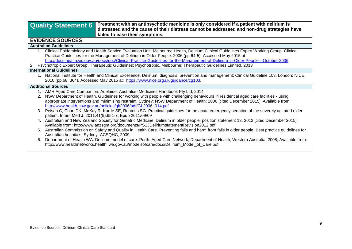# **Quality Statement 6 Treatment with an antipsychotic medicine is only considered if a patient with delirium is distressed and the cause of their distress cannot be addressed and non-drug strategies have failed to ease their symptoms.**

# **EVIDENCE SOURCES**

### **Australian Guidelines**

- 1. Clinical Epidemiology and Health Service Evaluation Unit, Melbourne Health, Delirium Clinical Guidelines Expert Working Group. Clinical Practice Guidelines for the Management of Delirium in Older People. 2006 (pp.64-5). Accessed May 2015 at [http://docs.health.vic.gov.au/docs/doc/Clinical-Practice-Guidelines-for-the-Management-of-Delirium-in-Older-People---October-2006.](http://docs.health.vic.gov.au/docs/doc/Clinical-Practice-Guidelines-for-the-Management-of-Delirium-in-Older-People---October-2006)
- 2. Psychotropic Expert Group. Therapeutic Guidelines: Psychotropic. Melbourne: Therapeutic Guidelines Limited, 2013

### **International Guidelines**

1. National Institute for Health and Clinical Excellence. Delirium: diagnosis, prevention and management; Clinical Guideline 103. London: NICE, 2010 (pp.68, 364). Accessed May 2015 at: [https://www.nice.org.uk/guidance/cg103.](https://www.nice.org.uk/guidance/cg103)

### **Additional Sources**

- 1. AMH Aged Care Companion. Adelaide: Australian Medicines Handbook Pty Ltd; 2014.
- 2. NSW Department of Health. Guidelines for working with people with challenging behaviours in residential aged care facilities using appropriate interventions and minimising restraint. Sydney: NSW Department of Health; 2006 [cited December 2015]. Available from [http://www.health.nsw.gov.au/policies/gl/2006/pdf/GL2006\\_014.pdf](http://www.health.nsw.gov.au/policies/gl/2006/pdf/GL2006_014.pdf)
- 3. Peisah C, Chan DK, McKay R, Kurrle SE, Reutens SG. Practical guidelines for the acute emergency sedation of the severely agitated older patient. Intern Med J. 2011;41(9):651-7. Epub 2011/09/09
- 4. Australian and New Zealand Society for Geriatric Medicine. Delirium in older people: position statement 13. 2012 [cited December 2015]; Available from: http://www.anzsgm.org/documents/PS13DeliriumstatementRevision2012.pdf
- 5. Australian Commission on Safety and Quality in Health Care. Preventing falls and harm from falls in older people. Best practice guidelines for Australian hospitals. Sydney: ACSQHC, 2009.
- 6. Department of Health WA. Delirium model of care. Perth: Aged Care Network, Department of Health, Western Australia; 2008; Available from: http://www.healthnetworks.health. wa.gov.au/modelsofcare/docs/Delirium\_Model\_of\_Care.pdf